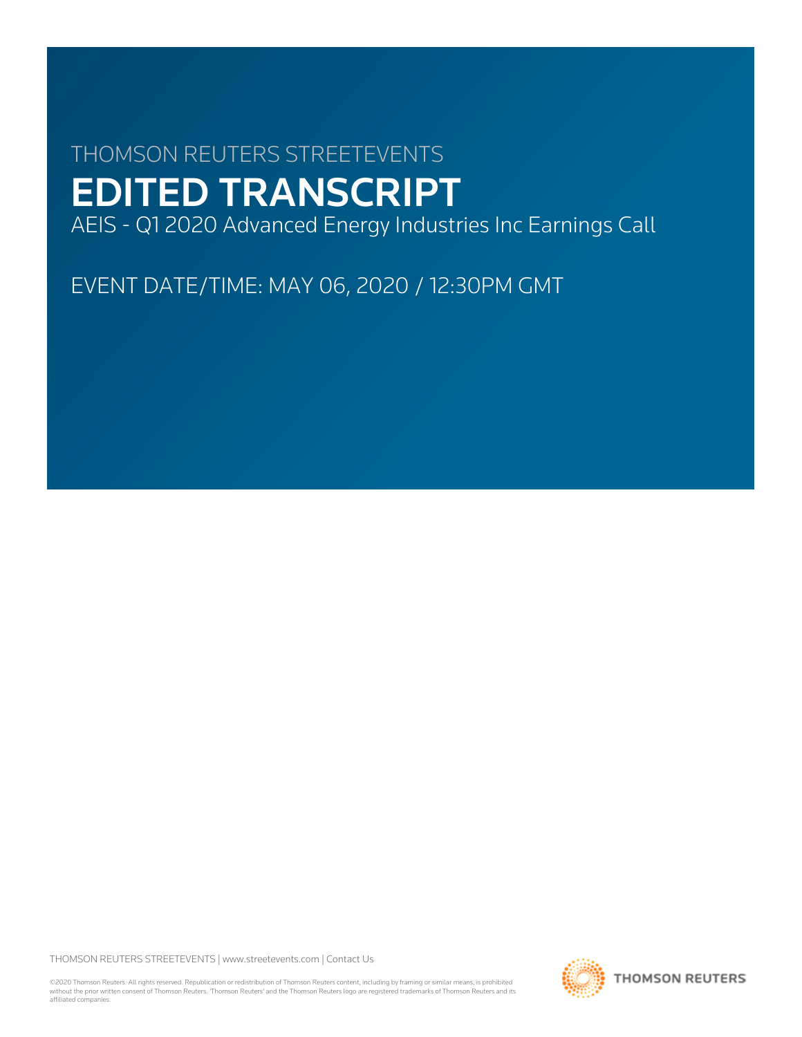# THOMSON REUTERS STREETEVENTS EDITED TRANSCRIPT

AEIS - Q1 2020 Advanced Energy Industries Inc Earnings Call

EVENT DATE/TIME: MAY 06, 2020 / 12:30PM GMT

THOMSON REUTERS STREETEVENTS | [www.streetevents.com](http://www.streetevents.com) | [Contact Us](http://www010.streetevents.com/contact.asp)

©2020 Thomson Reuters. All rights reserved. Republication or redistribution of Thomson Reuters content, including by framing or similar means, is prohibited without the prior written consent of Thomson Reuters. 'Thomson Reuters' and the Thomson Reuters logo are registered trademarks of Thomson Reuters and its affiliated companies.

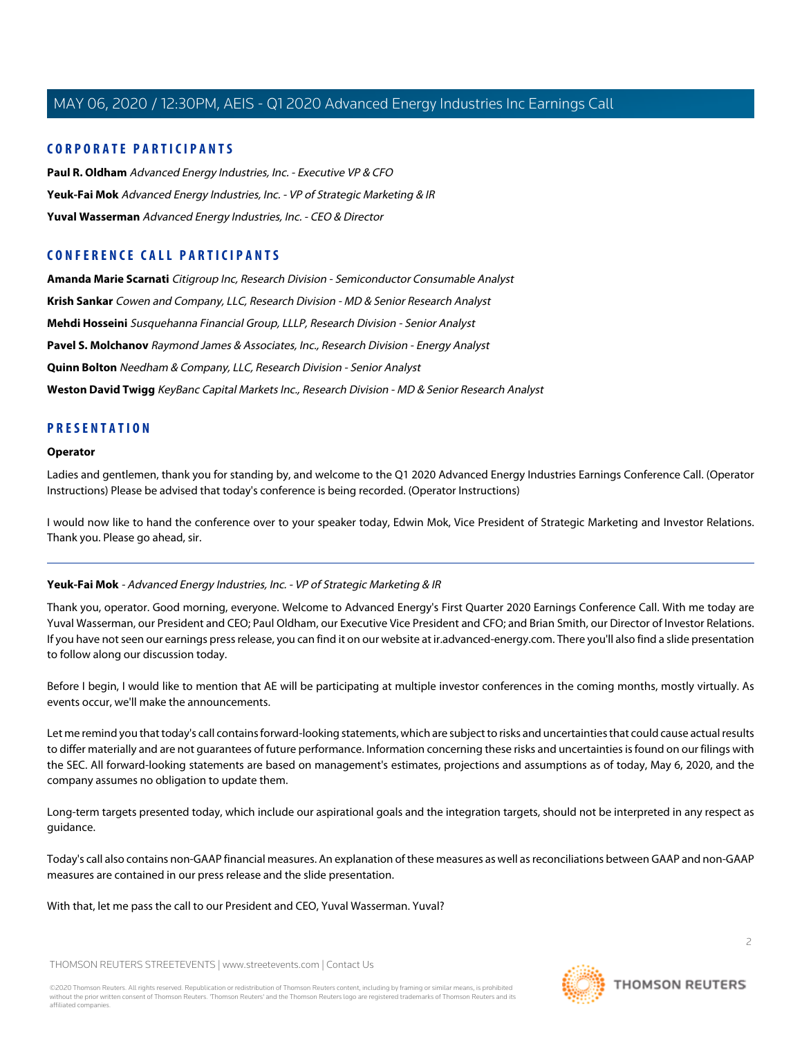# **CORPORATE PARTICIPANTS**

**[Paul R. Oldham](#page-4-0)** Advanced Energy Industries, Inc. - Executive VP & CFO **[Yeuk-Fai Mok](#page-1-0)** Advanced Energy Industries, Inc. - VP of Strategic Marketing & IR **[Yuval Wasserman](#page-2-0)** Advanced Energy Industries, Inc. - CEO & Director

# **CONFERENCE CALL PARTICIPANTS**

**[Amanda Marie Scarnati](#page-7-0)** Citigroup Inc, Research Division - Semiconductor Consumable Analyst **[Krish Sankar](#page-8-0)** Cowen and Company, LLC, Research Division - MD & Senior Research Analyst **[Mehdi Hosseini](#page-12-0)** Susquehanna Financial Group, LLLP, Research Division - Senior Analyst **[Pavel S. Molchanov](#page-11-0)** Raymond James & Associates, Inc., Research Division - Energy Analyst **[Quinn Bolton](#page-6-0)** Needham & Company, LLC, Research Division - Senior Analyst **[Weston David Twigg](#page-10-0)** KeyBanc Capital Markets Inc., Research Division - MD & Senior Research Analyst

# **PRESENTATION**

#### **Operator**

Ladies and gentlemen, thank you for standing by, and welcome to the Q1 2020 Advanced Energy Industries Earnings Conference Call. (Operator Instructions) Please be advised that today's conference is being recorded. (Operator Instructions)

<span id="page-1-0"></span>I would now like to hand the conference over to your speaker today, Edwin Mok, Vice President of Strategic Marketing and Investor Relations. Thank you. Please go ahead, sir.

# **Yeuk-Fai Mok** - Advanced Energy Industries, Inc. - VP of Strategic Marketing & IR

Thank you, operator. Good morning, everyone. Welcome to Advanced Energy's First Quarter 2020 Earnings Conference Call. With me today are Yuval Wasserman, our President and CEO; Paul Oldham, our Executive Vice President and CFO; and Brian Smith, our Director of Investor Relations. If you have not seen our earnings press release, you can find it on our website at ir.advanced-energy.com. There you'll also find a slide presentation to follow along our discussion today.

Before I begin, I would like to mention that AE will be participating at multiple investor conferences in the coming months, mostly virtually. As events occur, we'll make the announcements.

Let me remind you that today's call contains forward-looking statements, which are subject to risks and uncertainties that could cause actual results to differ materially and are not guarantees of future performance. Information concerning these risks and uncertainties is found on our filings with the SEC. All forward-looking statements are based on management's estimates, projections and assumptions as of today, May 6, 2020, and the company assumes no obligation to update them.

Long-term targets presented today, which include our aspirational goals and the integration targets, should not be interpreted in any respect as guidance.

Today's call also contains non-GAAP financial measures. An explanation of these measures as well as reconciliations between GAAP and non-GAAP measures are contained in our press release and the slide presentation.

#### With that, let me pass the call to our President and CEO, Yuval Wasserman. Yuval?



 $\overline{2}$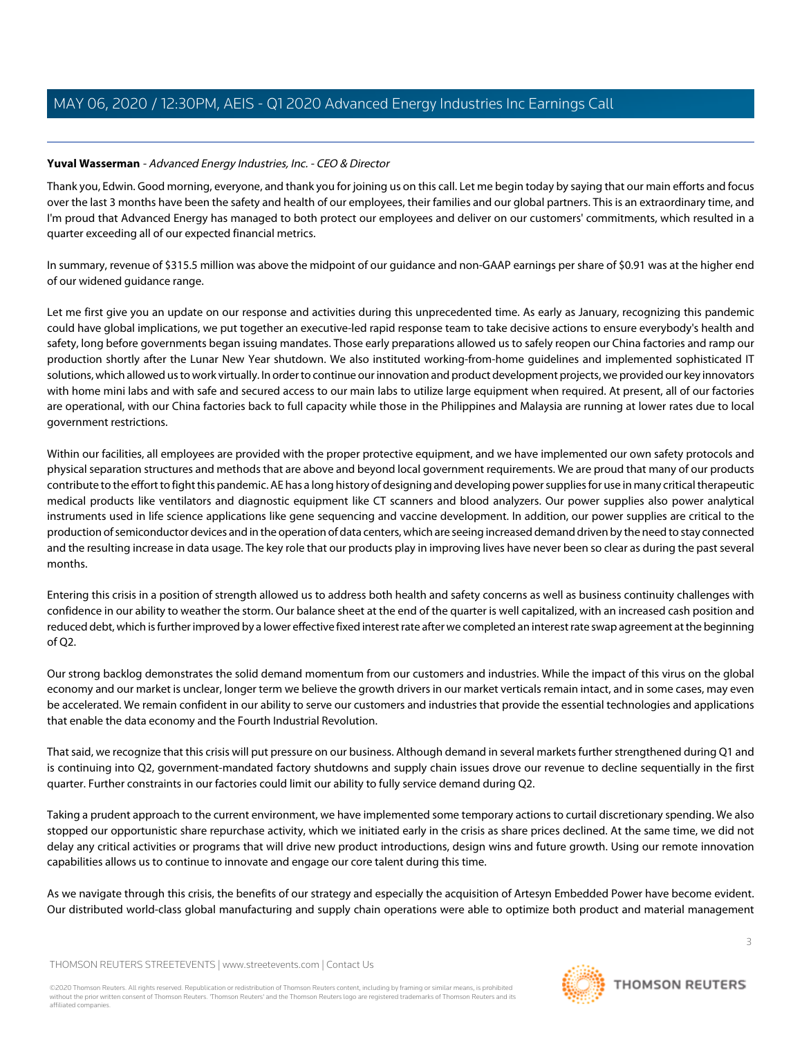# <span id="page-2-0"></span>**Yuval Wasserman** - Advanced Energy Industries, Inc. - CEO & Director

Thank you, Edwin. Good morning, everyone, and thank you for joining us on this call. Let me begin today by saying that our main efforts and focus over the last 3 months have been the safety and health of our employees, their families and our global partners. This is an extraordinary time, and I'm proud that Advanced Energy has managed to both protect our employees and deliver on our customers' commitments, which resulted in a quarter exceeding all of our expected financial metrics.

In summary, revenue of \$315.5 million was above the midpoint of our guidance and non-GAAP earnings per share of \$0.91 was at the higher end of our widened guidance range.

Let me first give you an update on our response and activities during this unprecedented time. As early as January, recognizing this pandemic could have global implications, we put together an executive-led rapid response team to take decisive actions to ensure everybody's health and safety, long before governments began issuing mandates. Those early preparations allowed us to safely reopen our China factories and ramp our production shortly after the Lunar New Year shutdown. We also instituted working-from-home guidelines and implemented sophisticated IT solutions, which allowed us to work virtually. In order to continue our innovation and product development projects, we provided our key innovators with home mini labs and with safe and secured access to our main labs to utilize large equipment when required. At present, all of our factories are operational, with our China factories back to full capacity while those in the Philippines and Malaysia are running at lower rates due to local government restrictions.

Within our facilities, all employees are provided with the proper protective equipment, and we have implemented our own safety protocols and physical separation structures and methods that are above and beyond local government requirements. We are proud that many of our products contribute to the effort to fight this pandemic. AE has a long history of designing and developing power supplies for use in many critical therapeutic medical products like ventilators and diagnostic equipment like CT scanners and blood analyzers. Our power supplies also power analytical instruments used in life science applications like gene sequencing and vaccine development. In addition, our power supplies are critical to the production of semiconductor devices and in the operation of data centers, which are seeing increased demand driven by the need to stay connected and the resulting increase in data usage. The key role that our products play in improving lives have never been so clear as during the past several months.

Entering this crisis in a position of strength allowed us to address both health and safety concerns as well as business continuity challenges with confidence in our ability to weather the storm. Our balance sheet at the end of the quarter is well capitalized, with an increased cash position and reduced debt, which is further improved by a lower effective fixed interest rate after we completed an interest rate swap agreement at the beginning of Q2.

Our strong backlog demonstrates the solid demand momentum from our customers and industries. While the impact of this virus on the global economy and our market is unclear, longer term we believe the growth drivers in our market verticals remain intact, and in some cases, may even be accelerated. We remain confident in our ability to serve our customers and industries that provide the essential technologies and applications that enable the data economy and the Fourth Industrial Revolution.

That said, we recognize that this crisis will put pressure on our business. Although demand in several markets further strengthened during Q1 and is continuing into Q2, government-mandated factory shutdowns and supply chain issues drove our revenue to decline sequentially in the first quarter. Further constraints in our factories could limit our ability to fully service demand during Q2.

Taking a prudent approach to the current environment, we have implemented some temporary actions to curtail discretionary spending. We also stopped our opportunistic share repurchase activity, which we initiated early in the crisis as share prices declined. At the same time, we did not delay any critical activities or programs that will drive new product introductions, design wins and future growth. Using our remote innovation capabilities allows us to continue to innovate and engage our core talent during this time.

As we navigate through this crisis, the benefits of our strategy and especially the acquisition of Artesyn Embedded Power have become evident. Our distributed world-class global manufacturing and supply chain operations were able to optimize both product and material management

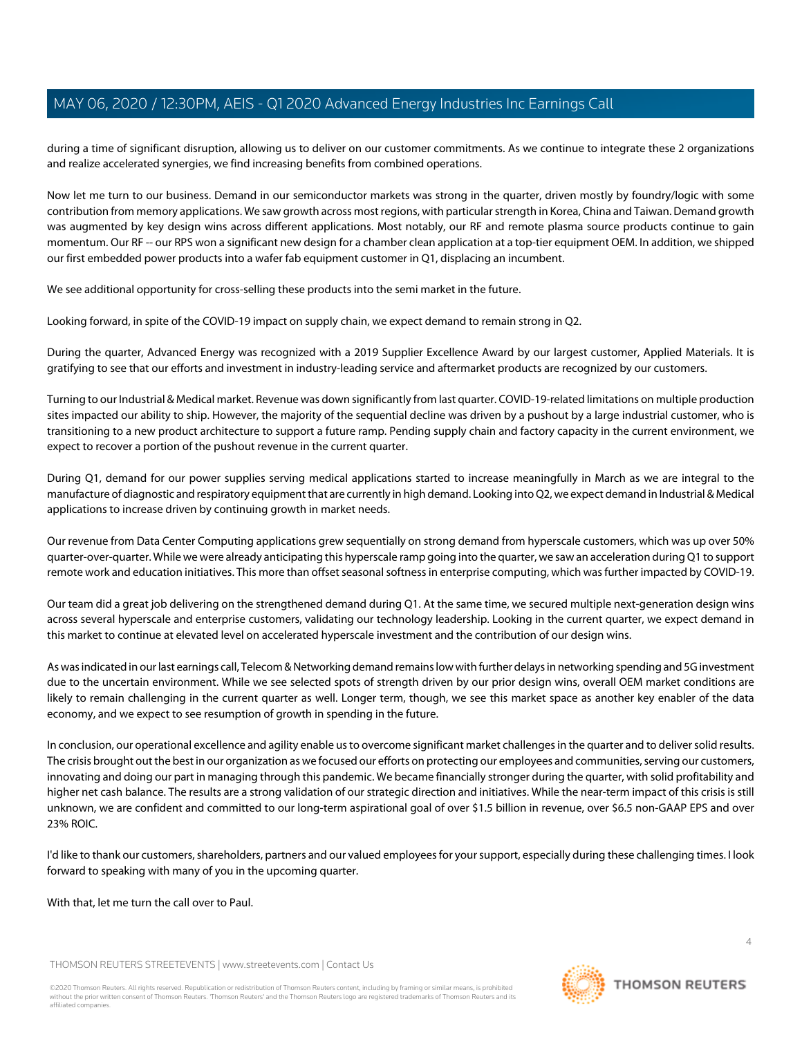during a time of significant disruption, allowing us to deliver on our customer commitments. As we continue to integrate these 2 organizations and realize accelerated synergies, we find increasing benefits from combined operations.

Now let me turn to our business. Demand in our semiconductor markets was strong in the quarter, driven mostly by foundry/logic with some contribution from memory applications. We saw growth across most regions, with particular strength in Korea, China and Taiwan. Demand growth was augmented by key design wins across different applications. Most notably, our RF and remote plasma source products continue to gain momentum. Our RF -- our RPS won a significant new design for a chamber clean application at a top-tier equipment OEM. In addition, we shipped our first embedded power products into a wafer fab equipment customer in Q1, displacing an incumbent.

We see additional opportunity for cross-selling these products into the semi market in the future.

Looking forward, in spite of the COVID-19 impact on supply chain, we expect demand to remain strong in Q2.

During the quarter, Advanced Energy was recognized with a 2019 Supplier Excellence Award by our largest customer, Applied Materials. It is gratifying to see that our efforts and investment in industry-leading service and aftermarket products are recognized by our customers.

Turning to our Industrial & Medical market. Revenue was down significantly from last quarter. COVID-19-related limitations on multiple production sites impacted our ability to ship. However, the majority of the sequential decline was driven by a pushout by a large industrial customer, who is transitioning to a new product architecture to support a future ramp. Pending supply chain and factory capacity in the current environment, we expect to recover a portion of the pushout revenue in the current quarter.

During Q1, demand for our power supplies serving medical applications started to increase meaningfully in March as we are integral to the manufacture of diagnostic and respiratory equipment that are currently in high demand. Looking into Q2, we expect demand in Industrial & Medical applications to increase driven by continuing growth in market needs.

Our revenue from Data Center Computing applications grew sequentially on strong demand from hyperscale customers, which was up over 50% quarter-over-quarter. While we were already anticipating this hyperscale ramp going into the quarter, we saw an acceleration during Q1 to support remote work and education initiatives. This more than offset seasonal softness in enterprise computing, which was further impacted by COVID-19.

Our team did a great job delivering on the strengthened demand during Q1. At the same time, we secured multiple next-generation design wins across several hyperscale and enterprise customers, validating our technology leadership. Looking in the current quarter, we expect demand in this market to continue at elevated level on accelerated hyperscale investment and the contribution of our design wins.

As was indicated in our last earnings call, Telecom & Networking demand remains low with further delays in networking spending and 5G investment due to the uncertain environment. While we see selected spots of strength driven by our prior design wins, overall OEM market conditions are likely to remain challenging in the current quarter as well. Longer term, though, we see this market space as another key enabler of the data economy, and we expect to see resumption of growth in spending in the future.

In conclusion, our operational excellence and agility enable us to overcome significant market challenges in the quarter and to deliver solid results. The crisis brought out the best in our organization as we focused our efforts on protecting our employees and communities, serving our customers, innovating and doing our part in managing through this pandemic. We became financially stronger during the quarter, with solid profitability and higher net cash balance. The results are a strong validation of our strategic direction and initiatives. While the near-term impact of this crisis is still unknown, we are confident and committed to our long-term aspirational goal of over \$1.5 billion in revenue, over \$6.5 non-GAAP EPS and over 23% ROIC.

I'd like to thank our customers, shareholders, partners and our valued employees for your support, especially during these challenging times. I look forward to speaking with many of you in the upcoming quarter.

With that, let me turn the call over to Paul.

THOMSON REUTERS STREETEVENTS | [www.streetevents.com](http://www.streetevents.com) | [Contact Us](http://www010.streetevents.com/contact.asp)

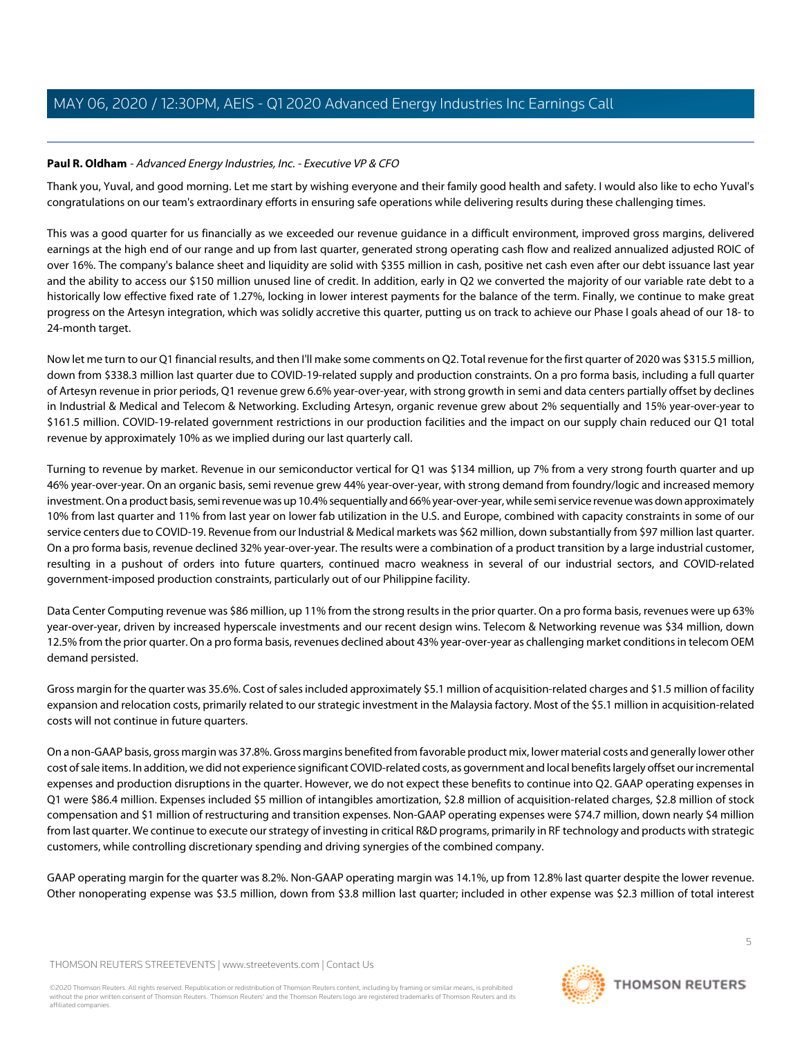# <span id="page-4-0"></span>**Paul R. Oldham** - Advanced Energy Industries, Inc. - Executive VP & CFO

Thank you, Yuval, and good morning. Let me start by wishing everyone and their family good health and safety. I would also like to echo Yuval's congratulations on our team's extraordinary efforts in ensuring safe operations while delivering results during these challenging times.

This was a good quarter for us financially as we exceeded our revenue guidance in a difficult environment, improved gross margins, delivered earnings at the high end of our range and up from last quarter, generated strong operating cash flow and realized annualized adjusted ROIC of over 16%. The company's balance sheet and liquidity are solid with \$355 million in cash, positive net cash even after our debt issuance last year and the ability to access our \$150 million unused line of credit. In addition, early in Q2 we converted the majority of our variable rate debt to a historically low effective fixed rate of 1.27%, locking in lower interest payments for the balance of the term. Finally, we continue to make great progress on the Artesyn integration, which was solidly accretive this quarter, putting us on track to achieve our Phase I goals ahead of our 18- to 24-month target.

Now let me turn to our Q1 financial results, and then I'll make some comments on Q2. Total revenue for the first quarter of 2020 was \$315.5 million, down from \$338.3 million last quarter due to COVID-19-related supply and production constraints. On a pro forma basis, including a full quarter of Artesyn revenue in prior periods, Q1 revenue grew 6.6% year-over-year, with strong growth in semi and data centers partially offset by declines in Industrial & Medical and Telecom & Networking. Excluding Artesyn, organic revenue grew about 2% sequentially and 15% year-over-year to \$161.5 million. COVID-19-related government restrictions in our production facilities and the impact on our supply chain reduced our Q1 total revenue by approximately 10% as we implied during our last quarterly call.

Turning to revenue by market. Revenue in our semiconductor vertical for Q1 was \$134 million, up 7% from a very strong fourth quarter and up 46% year-over-year. On an organic basis, semi revenue grew 44% year-over-year, with strong demand from foundry/logic and increased memory investment. On a product basis, semi revenue was up 10.4% sequentially and 66% year-over-year, while semi service revenue was down approximately 10% from last quarter and 11% from last year on lower fab utilization in the U.S. and Europe, combined with capacity constraints in some of our service centers due to COVID-19. Revenue from our Industrial & Medical markets was \$62 million, down substantially from \$97 million last quarter. On a pro forma basis, revenue declined 32% year-over-year. The results were a combination of a product transition by a large industrial customer, resulting in a pushout of orders into future quarters, continued macro weakness in several of our industrial sectors, and COVID-related government-imposed production constraints, particularly out of our Philippine facility.

Data Center Computing revenue was \$86 million, up 11% from the strong results in the prior quarter. On a pro forma basis, revenues were up 63% year-over-year, driven by increased hyperscale investments and our recent design wins. Telecom & Networking revenue was \$34 million, down 12.5% from the prior quarter. On a pro forma basis, revenues declined about 43% year-over-year as challenging market conditions in telecom OEM demand persisted.

Gross margin for the quarter was 35.6%. Cost of sales included approximately \$5.1 million of acquisition-related charges and \$1.5 million of facility expansion and relocation costs, primarily related to our strategic investment in the Malaysia factory. Most of the \$5.1 million in acquisition-related costs will not continue in future quarters.

On a non-GAAP basis, gross margin was 37.8%. Gross margins benefited from favorable product mix, lower material costs and generally lower other cost of sale items. In addition, we did not experience significant COVID-related costs, as government and local benefits largely offset our incremental expenses and production disruptions in the quarter. However, we do not expect these benefits to continue into Q2. GAAP operating expenses in Q1 were \$86.4 million. Expenses included \$5 million of intangibles amortization, \$2.8 million of acquisition-related charges, \$2.8 million of stock compensation and \$1 million of restructuring and transition expenses. Non-GAAP operating expenses were \$74.7 million, down nearly \$4 million from last quarter. We continue to execute our strategy of investing in critical R&D programs, primarily in RF technology and products with strategic customers, while controlling discretionary spending and driving synergies of the combined company.

GAAP operating margin for the quarter was 8.2%. Non-GAAP operating margin was 14.1%, up from 12.8% last quarter despite the lower revenue. Other nonoperating expense was \$3.5 million, down from \$3.8 million last quarter; included in other expense was \$2.3 million of total interest

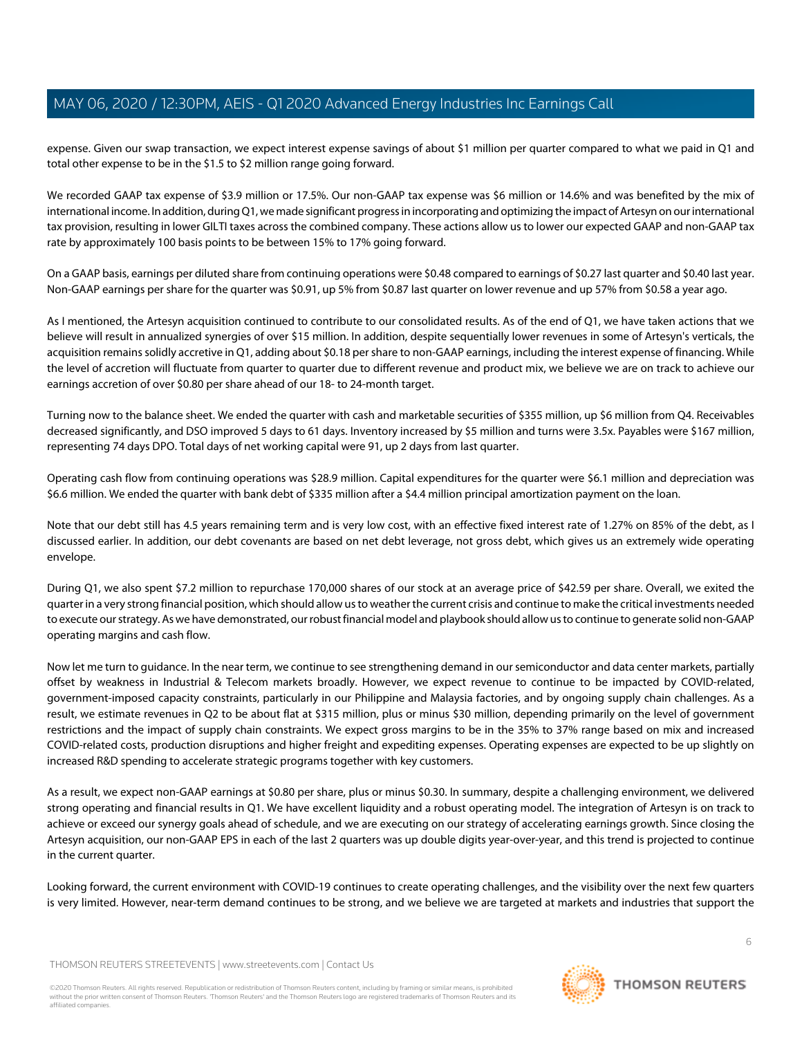expense. Given our swap transaction, we expect interest expense savings of about \$1 million per quarter compared to what we paid in Q1 and total other expense to be in the \$1.5 to \$2 million range going forward.

We recorded GAAP tax expense of \$3.9 million or 17.5%. Our non-GAAP tax expense was \$6 million or 14.6% and was benefited by the mix of international income. In addition, during Q1, we made significant progress in incorporating and optimizing the impact of Artesyn on our international tax provision, resulting in lower GILTI taxes across the combined company. These actions allow us to lower our expected GAAP and non-GAAP tax rate by approximately 100 basis points to be between 15% to 17% going forward.

On a GAAP basis, earnings per diluted share from continuing operations were \$0.48 compared to earnings of \$0.27 last quarter and \$0.40 last year. Non-GAAP earnings per share for the quarter was \$0.91, up 5% from \$0.87 last quarter on lower revenue and up 57% from \$0.58 a year ago.

As I mentioned, the Artesyn acquisition continued to contribute to our consolidated results. As of the end of Q1, we have taken actions that we believe will result in annualized synergies of over \$15 million. In addition, despite sequentially lower revenues in some of Artesyn's verticals, the acquisition remains solidly accretive in Q1, adding about \$0.18 per share to non-GAAP earnings, including the interest expense of financing. While the level of accretion will fluctuate from quarter to quarter due to different revenue and product mix, we believe we are on track to achieve our earnings accretion of over \$0.80 per share ahead of our 18- to 24-month target.

Turning now to the balance sheet. We ended the quarter with cash and marketable securities of \$355 million, up \$6 million from Q4. Receivables decreased significantly, and DSO improved 5 days to 61 days. Inventory increased by \$5 million and turns were 3.5x. Payables were \$167 million, representing 74 days DPO. Total days of net working capital were 91, up 2 days from last quarter.

Operating cash flow from continuing operations was \$28.9 million. Capital expenditures for the quarter were \$6.1 million and depreciation was \$6.6 million. We ended the quarter with bank debt of \$335 million after a \$4.4 million principal amortization payment on the loan.

Note that our debt still has 4.5 years remaining term and is very low cost, with an effective fixed interest rate of 1.27% on 85% of the debt, as I discussed earlier. In addition, our debt covenants are based on net debt leverage, not gross debt, which gives us an extremely wide operating envelope.

During Q1, we also spent \$7.2 million to repurchase 170,000 shares of our stock at an average price of \$42.59 per share. Overall, we exited the quarter in a very strong financial position, which should allow us to weather the current crisis and continue to make the critical investments needed to execute our strategy. As we have demonstrated, our robust financial model and playbook should allow us to continue to generate solid non-GAAP operating margins and cash flow.

Now let me turn to guidance. In the near term, we continue to see strengthening demand in our semiconductor and data center markets, partially offset by weakness in Industrial & Telecom markets broadly. However, we expect revenue to continue to be impacted by COVID-related, government-imposed capacity constraints, particularly in our Philippine and Malaysia factories, and by ongoing supply chain challenges. As a result, we estimate revenues in Q2 to be about flat at \$315 million, plus or minus \$30 million, depending primarily on the level of government restrictions and the impact of supply chain constraints. We expect gross margins to be in the 35% to 37% range based on mix and increased COVID-related costs, production disruptions and higher freight and expediting expenses. Operating expenses are expected to be up slightly on increased R&D spending to accelerate strategic programs together with key customers.

As a result, we expect non-GAAP earnings at \$0.80 per share, plus or minus \$0.30. In summary, despite a challenging environment, we delivered strong operating and financial results in Q1. We have excellent liquidity and a robust operating model. The integration of Artesyn is on track to achieve or exceed our synergy goals ahead of schedule, and we are executing on our strategy of accelerating earnings growth. Since closing the Artesyn acquisition, our non-GAAP EPS in each of the last 2 quarters was up double digits year-over-year, and this trend is projected to continue in the current quarter.

Looking forward, the current environment with COVID-19 continues to create operating challenges, and the visibility over the next few quarters is very limited. However, near-term demand continues to be strong, and we believe we are targeted at markets and industries that support the

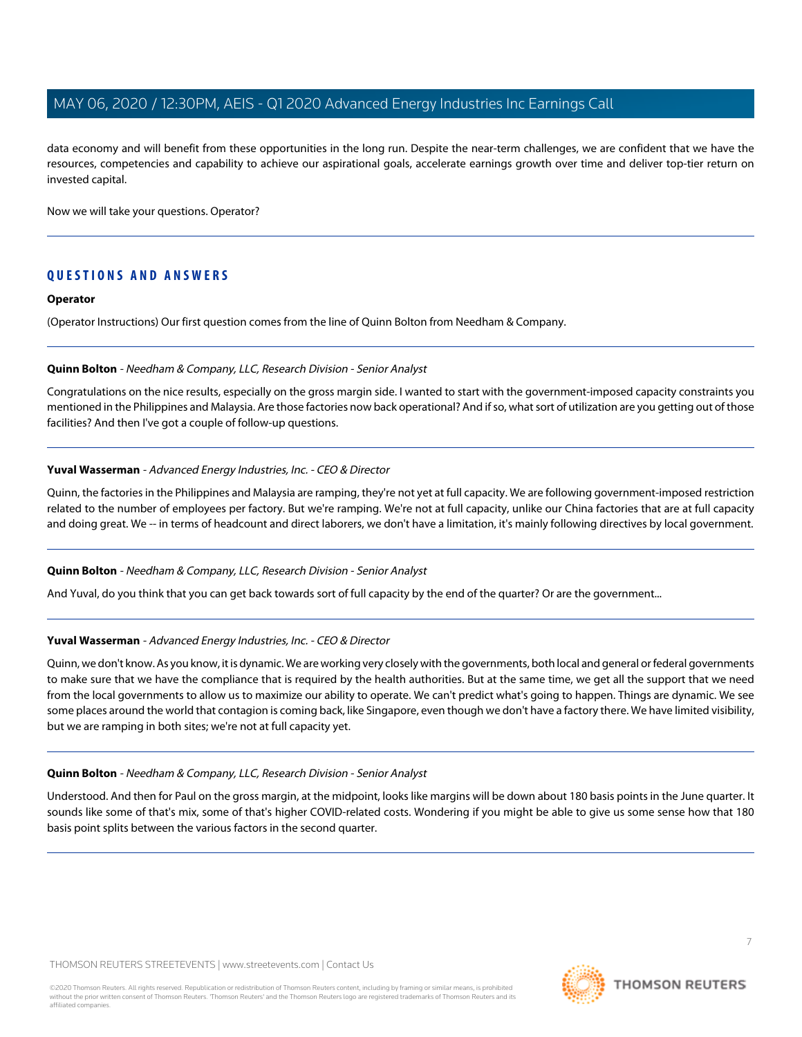data economy and will benefit from these opportunities in the long run. Despite the near-term challenges, we are confident that we have the resources, competencies and capability to achieve our aspirational goals, accelerate earnings growth over time and deliver top-tier return on invested capital.

Now we will take your questions. Operator?

# **QUESTIONS AND ANSWERS**

#### **Operator**

<span id="page-6-0"></span>(Operator Instructions) Our first question comes from the line of Quinn Bolton from Needham & Company.

#### **Quinn Bolton** - Needham & Company, LLC, Research Division - Senior Analyst

Congratulations on the nice results, especially on the gross margin side. I wanted to start with the government-imposed capacity constraints you mentioned in the Philippines and Malaysia. Are those factories now back operational? And if so, what sort of utilization are you getting out of those facilities? And then I've got a couple of follow-up questions.

#### **Yuval Wasserman** - Advanced Energy Industries, Inc. - CEO & Director

Quinn, the factories in the Philippines and Malaysia are ramping, they're not yet at full capacity. We are following government-imposed restriction related to the number of employees per factory. But we're ramping. We're not at full capacity, unlike our China factories that are at full capacity and doing great. We -- in terms of headcount and direct laborers, we don't have a limitation, it's mainly following directives by local government.

#### **Quinn Bolton** - Needham & Company, LLC, Research Division - Senior Analyst

And Yuval, do you think that you can get back towards sort of full capacity by the end of the quarter? Or are the government...

#### **Yuval Wasserman** - Advanced Energy Industries, Inc. - CEO & Director

Quinn, we don't know. As you know, it is dynamic. We are working very closely with the governments, both local and general or federal governments to make sure that we have the compliance that is required by the health authorities. But at the same time, we get all the support that we need from the local governments to allow us to maximize our ability to operate. We can't predict what's going to happen. Things are dynamic. We see some places around the world that contagion is coming back, like Singapore, even though we don't have a factory there. We have limited visibility, but we are ramping in both sites; we're not at full capacity yet.

#### **Quinn Bolton** - Needham & Company, LLC, Research Division - Senior Analyst

Understood. And then for Paul on the gross margin, at the midpoint, looks like margins will be down about 180 basis points in the June quarter. It sounds like some of that's mix, some of that's higher COVID-related costs. Wondering if you might be able to give us some sense how that 180 basis point splits between the various factors in the second quarter.

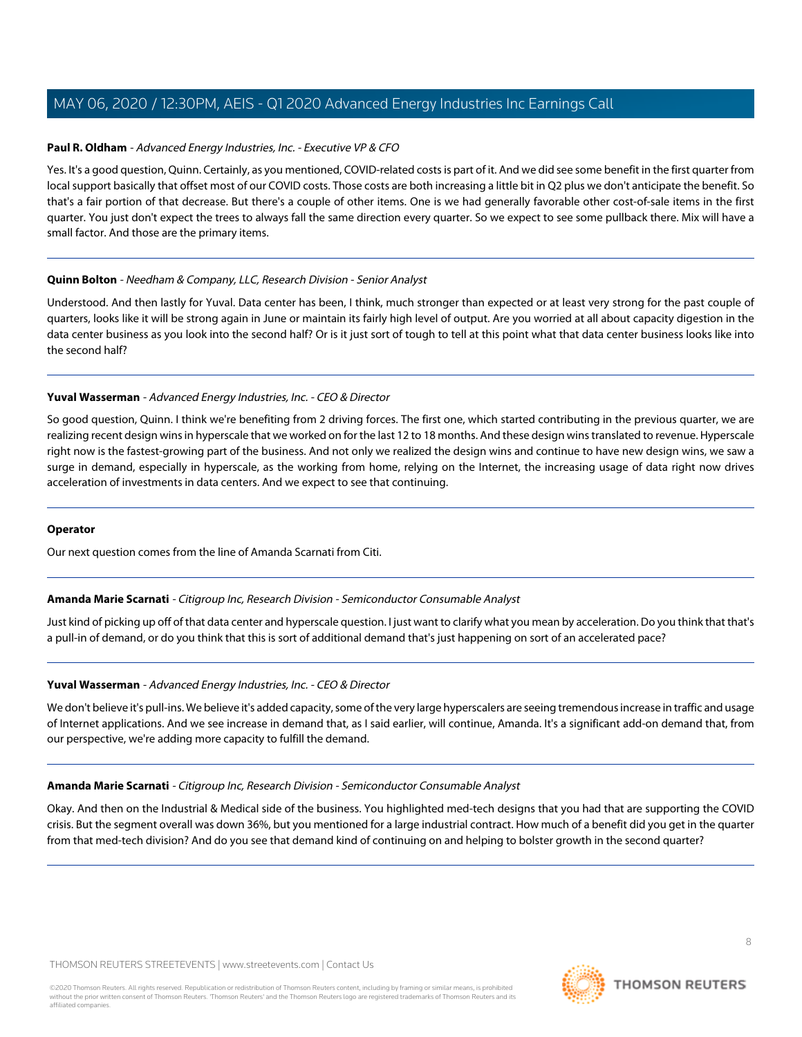# **Paul R. Oldham** - Advanced Energy Industries, Inc. - Executive VP & CFO

Yes. It's a good question, Quinn. Certainly, as you mentioned, COVID-related costs is part of it. And we did see some benefit in the first quarter from local support basically that offset most of our COVID costs. Those costs are both increasing a little bit in Q2 plus we don't anticipate the benefit. So that's a fair portion of that decrease. But there's a couple of other items. One is we had generally favorable other cost-of-sale items in the first quarter. You just don't expect the trees to always fall the same direction every quarter. So we expect to see some pullback there. Mix will have a small factor. And those are the primary items.

#### **Quinn Bolton** - Needham & Company, LLC, Research Division - Senior Analyst

Understood. And then lastly for Yuval. Data center has been, I think, much stronger than expected or at least very strong for the past couple of quarters, looks like it will be strong again in June or maintain its fairly high level of output. Are you worried at all about capacity digestion in the data center business as you look into the second half? Or is it just sort of tough to tell at this point what that data center business looks like into the second half?

#### **Yuval Wasserman** - Advanced Energy Industries, Inc. - CEO & Director

So good question, Quinn. I think we're benefiting from 2 driving forces. The first one, which started contributing in the previous quarter, we are realizing recent design wins in hyperscale that we worked on for the last 12 to 18 months. And these design wins translated to revenue. Hyperscale right now is the fastest-growing part of the business. And not only we realized the design wins and continue to have new design wins, we saw a surge in demand, especially in hyperscale, as the working from home, relying on the Internet, the increasing usage of data right now drives acceleration of investments in data centers. And we expect to see that continuing.

# <span id="page-7-0"></span>**Operator**

Our next question comes from the line of Amanda Scarnati from Citi.

#### **Amanda Marie Scarnati** - Citigroup Inc, Research Division - Semiconductor Consumable Analyst

Just kind of picking up off of that data center and hyperscale question. I just want to clarify what you mean by acceleration. Do you think that that's a pull-in of demand, or do you think that this is sort of additional demand that's just happening on sort of an accelerated pace?

#### **Yuval Wasserman** - Advanced Energy Industries, Inc. - CEO & Director

We don't believe it's pull-ins. We believe it's added capacity, some of the very large hyperscalers are seeing tremendous increase in traffic and usage of Internet applications. And we see increase in demand that, as I said earlier, will continue, Amanda. It's a significant add-on demand that, from our perspective, we're adding more capacity to fulfill the demand.

#### **Amanda Marie Scarnati** - Citigroup Inc, Research Division - Semiconductor Consumable Analyst

Okay. And then on the Industrial & Medical side of the business. You highlighted med-tech designs that you had that are supporting the COVID crisis. But the segment overall was down 36%, but you mentioned for a large industrial contract. How much of a benefit did you get in the quarter from that med-tech division? And do you see that demand kind of continuing on and helping to bolster growth in the second quarter?

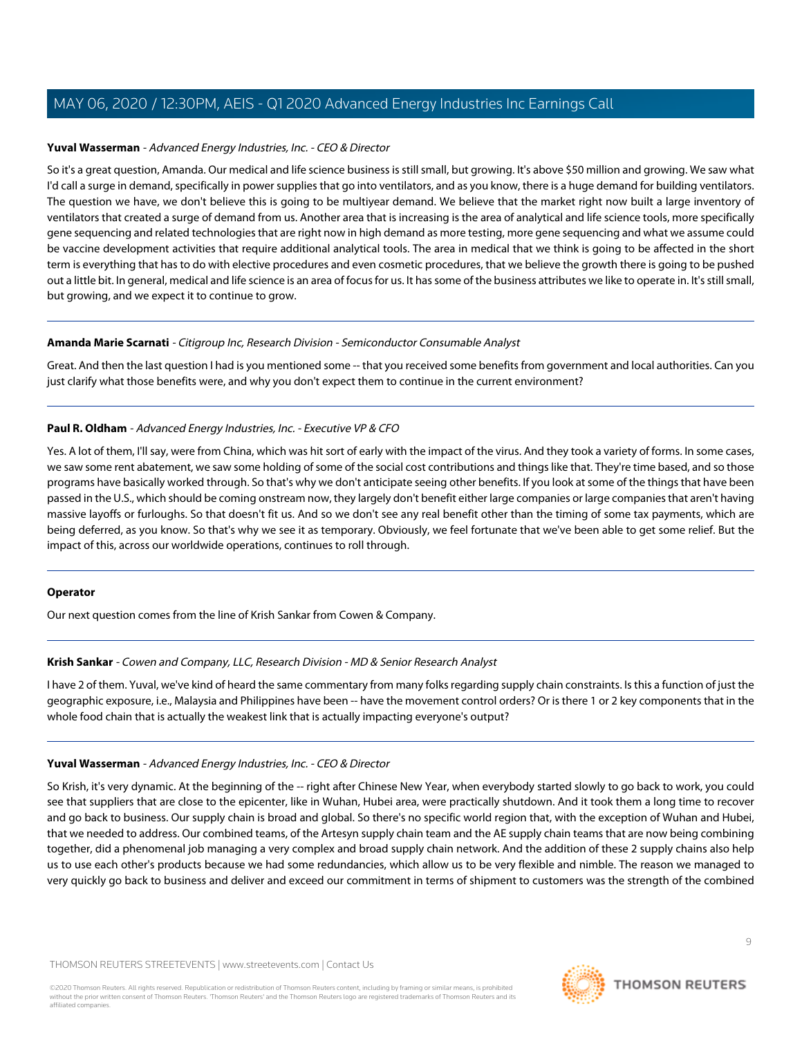#### **Yuval Wasserman** - Advanced Energy Industries, Inc. - CEO & Director

So it's a great question, Amanda. Our medical and life science business is still small, but growing. It's above \$50 million and growing. We saw what I'd call a surge in demand, specifically in power supplies that go into ventilators, and as you know, there is a huge demand for building ventilators. The question we have, we don't believe this is going to be multiyear demand. We believe that the market right now built a large inventory of ventilators that created a surge of demand from us. Another area that is increasing is the area of analytical and life science tools, more specifically gene sequencing and related technologies that are right now in high demand as more testing, more gene sequencing and what we assume could be vaccine development activities that require additional analytical tools. The area in medical that we think is going to be affected in the short term is everything that has to do with elective procedures and even cosmetic procedures, that we believe the growth there is going to be pushed out a little bit. In general, medical and life science is an area of focus for us. It has some of the business attributes we like to operate in. It's still small, but growing, and we expect it to continue to grow.

#### **Amanda Marie Scarnati** - Citigroup Inc, Research Division - Semiconductor Consumable Analyst

Great. And then the last question I had is you mentioned some -- that you received some benefits from government and local authorities. Can you just clarify what those benefits were, and why you don't expect them to continue in the current environment?

#### **Paul R. Oldham** - Advanced Energy Industries, Inc. - Executive VP & CFO

Yes. A lot of them, I'll say, were from China, which was hit sort of early with the impact of the virus. And they took a variety of forms. In some cases, we saw some rent abatement, we saw some holding of some of the social cost contributions and things like that. They're time based, and so those programs have basically worked through. So that's why we don't anticipate seeing other benefits. If you look at some of the things that have been passed in the U.S., which should be coming onstream now, they largely don't benefit either large companies or large companies that aren't having massive layoffs or furloughs. So that doesn't fit us. And so we don't see any real benefit other than the timing of some tax payments, which are being deferred, as you know. So that's why we see it as temporary. Obviously, we feel fortunate that we've been able to get some relief. But the impact of this, across our worldwide operations, continues to roll through.

#### <span id="page-8-0"></span>**Operator**

Our next question comes from the line of Krish Sankar from Cowen & Company.

# **Krish Sankar** - Cowen and Company, LLC, Research Division - MD & Senior Research Analyst

I have 2 of them. Yuval, we've kind of heard the same commentary from many folks regarding supply chain constraints. Is this a function of just the geographic exposure, i.e., Malaysia and Philippines have been -- have the movement control orders? Or is there 1 or 2 key components that in the whole food chain that is actually the weakest link that is actually impacting everyone's output?

# **Yuval Wasserman** - Advanced Energy Industries, Inc. - CEO & Director

So Krish, it's very dynamic. At the beginning of the -- right after Chinese New Year, when everybody started slowly to go back to work, you could see that suppliers that are close to the epicenter, like in Wuhan, Hubei area, were practically shutdown. And it took them a long time to recover and go back to business. Our supply chain is broad and global. So there's no specific world region that, with the exception of Wuhan and Hubei, that we needed to address. Our combined teams, of the Artesyn supply chain team and the AE supply chain teams that are now being combining together, did a phenomenal job managing a very complex and broad supply chain network. And the addition of these 2 supply chains also help us to use each other's products because we had some redundancies, which allow us to be very flexible and nimble. The reason we managed to very quickly go back to business and deliver and exceed our commitment in terms of shipment to customers was the strength of the combined

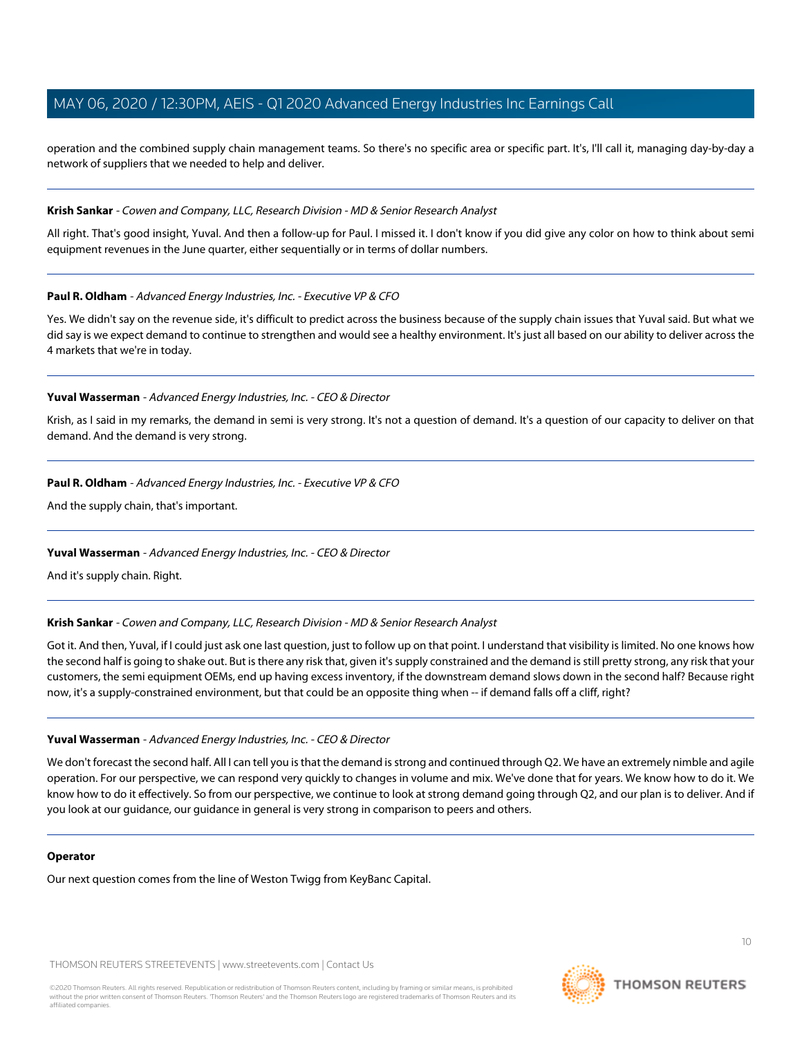operation and the combined supply chain management teams. So there's no specific area or specific part. It's, I'll call it, managing day-by-day a network of suppliers that we needed to help and deliver.

#### **Krish Sankar** - Cowen and Company, LLC, Research Division - MD & Senior Research Analyst

All right. That's good insight, Yuval. And then a follow-up for Paul. I missed it. I don't know if you did give any color on how to think about semi equipment revenues in the June quarter, either sequentially or in terms of dollar numbers.

#### **Paul R. Oldham** - Advanced Energy Industries, Inc. - Executive VP & CFO

Yes. We didn't say on the revenue side, it's difficult to predict across the business because of the supply chain issues that Yuval said. But what we did say is we expect demand to continue to strengthen and would see a healthy environment. It's just all based on our ability to deliver across the 4 markets that we're in today.

#### **Yuval Wasserman** - Advanced Energy Industries, Inc. - CEO & Director

Krish, as I said in my remarks, the demand in semi is very strong. It's not a question of demand. It's a question of our capacity to deliver on that demand. And the demand is very strong.

#### **Paul R. Oldham** - Advanced Energy Industries, Inc. - Executive VP & CFO

And the supply chain, that's important.

# **Yuval Wasserman** - Advanced Energy Industries, Inc. - CEO & Director

And it's supply chain. Right.

#### **Krish Sankar** - Cowen and Company, LLC, Research Division - MD & Senior Research Analyst

Got it. And then, Yuval, if I could just ask one last question, just to follow up on that point. I understand that visibility is limited. No one knows how the second half is going to shake out. But is there any risk that, given it's supply constrained and the demand is still pretty strong, any risk that your customers, the semi equipment OEMs, end up having excess inventory, if the downstream demand slows down in the second half? Because right now, it's a supply-constrained environment, but that could be an opposite thing when -- if demand falls off a cliff, right?

# **Yuval Wasserman** - Advanced Energy Industries, Inc. - CEO & Director

We don't forecast the second half. All I can tell you is that the demand is strong and continued through Q2. We have an extremely nimble and agile operation. For our perspective, we can respond very quickly to changes in volume and mix. We've done that for years. We know how to do it. We know how to do it effectively. So from our perspective, we continue to look at strong demand going through Q2, and our plan is to deliver. And if you look at our guidance, our guidance in general is very strong in comparison to peers and others.

#### **Operator**

Our next question comes from the line of Weston Twigg from KeyBanc Capital.

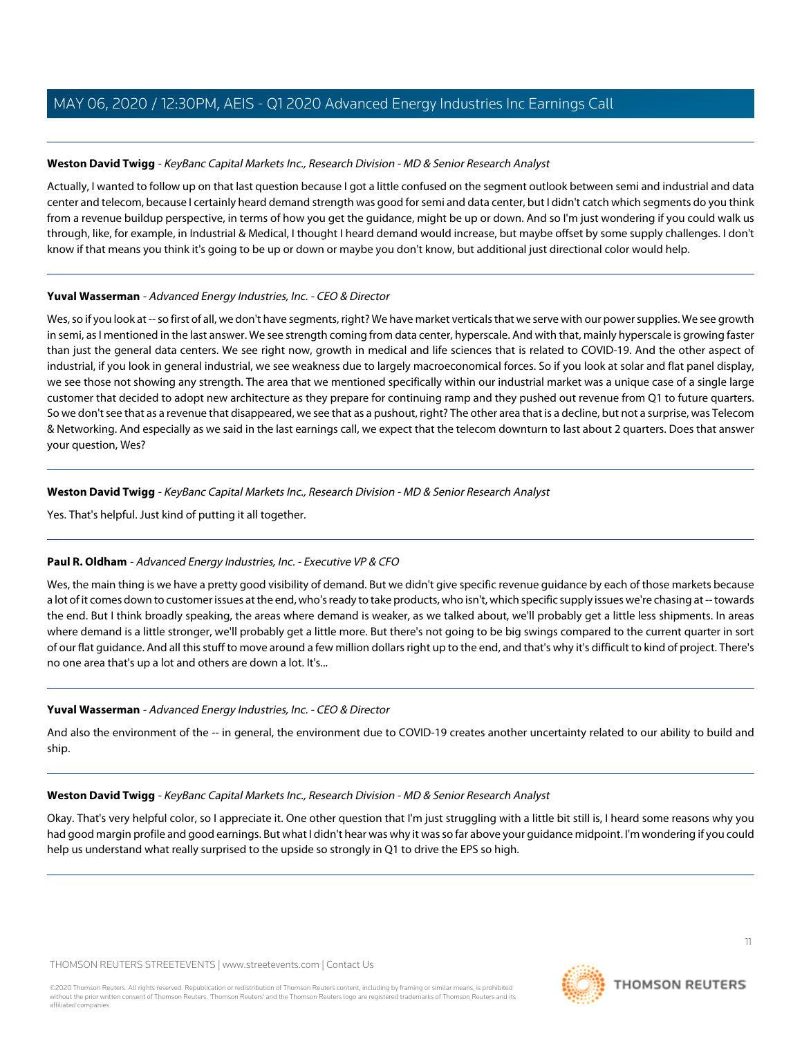# <span id="page-10-0"></span>**Weston David Twigg** - KeyBanc Capital Markets Inc., Research Division - MD & Senior Research Analyst

Actually, I wanted to follow up on that last question because I got a little confused on the segment outlook between semi and industrial and data center and telecom, because I certainly heard demand strength was good for semi and data center, but I didn't catch which segments do you think from a revenue buildup perspective, in terms of how you get the guidance, might be up or down. And so I'm just wondering if you could walk us through, like, for example, in Industrial & Medical, I thought I heard demand would increase, but maybe offset by some supply challenges. I don't know if that means you think it's going to be up or down or maybe you don't know, but additional just directional color would help.

# **Yuval Wasserman** - Advanced Energy Industries, Inc. - CEO & Director

Wes, so if you look at -- so first of all, we don't have segments, right? We have market verticals that we serve with our power supplies. We see growth in semi, as I mentioned in the last answer. We see strength coming from data center, hyperscale. And with that, mainly hyperscale is growing faster than just the general data centers. We see right now, growth in medical and life sciences that is related to COVID-19. And the other aspect of industrial, if you look in general industrial, we see weakness due to largely macroeconomical forces. So if you look at solar and flat panel display, we see those not showing any strength. The area that we mentioned specifically within our industrial market was a unique case of a single large customer that decided to adopt new architecture as they prepare for continuing ramp and they pushed out revenue from Q1 to future quarters. So we don't see that as a revenue that disappeared, we see that as a pushout, right? The other area that is a decline, but not a surprise, was Telecom & Networking. And especially as we said in the last earnings call, we expect that the telecom downturn to last about 2 quarters. Does that answer your question, Wes?

# **Weston David Twigg** - KeyBanc Capital Markets Inc., Research Division - MD & Senior Research Analyst

Yes. That's helpful. Just kind of putting it all together.

# **Paul R. Oldham** - Advanced Energy Industries, Inc. - Executive VP & CFO

Wes, the main thing is we have a pretty good visibility of demand. But we didn't give specific revenue guidance by each of those markets because a lot of it comes down to customer issues at the end, who's ready to take products, who isn't, which specific supply issues we're chasing at -- towards the end. But I think broadly speaking, the areas where demand is weaker, as we talked about, we'll probably get a little less shipments. In areas where demand is a little stronger, we'll probably get a little more. But there's not going to be big swings compared to the current quarter in sort of our flat guidance. And all this stuff to move around a few million dollars right up to the end, and that's why it's difficult to kind of project. There's no one area that's up a lot and others are down a lot. It's...

# **Yuval Wasserman** - Advanced Energy Industries, Inc. - CEO & Director

And also the environment of the -- in general, the environment due to COVID-19 creates another uncertainty related to our ability to build and ship.

# **Weston David Twigg** - KeyBanc Capital Markets Inc., Research Division - MD & Senior Research Analyst

Okay. That's very helpful color, so I appreciate it. One other question that I'm just struggling with a little bit still is, I heard some reasons why you had good margin profile and good earnings. But what I didn't hear was why it was so far above your guidance midpoint. I'm wondering if you could help us understand what really surprised to the upside so strongly in Q1 to drive the EPS so high.

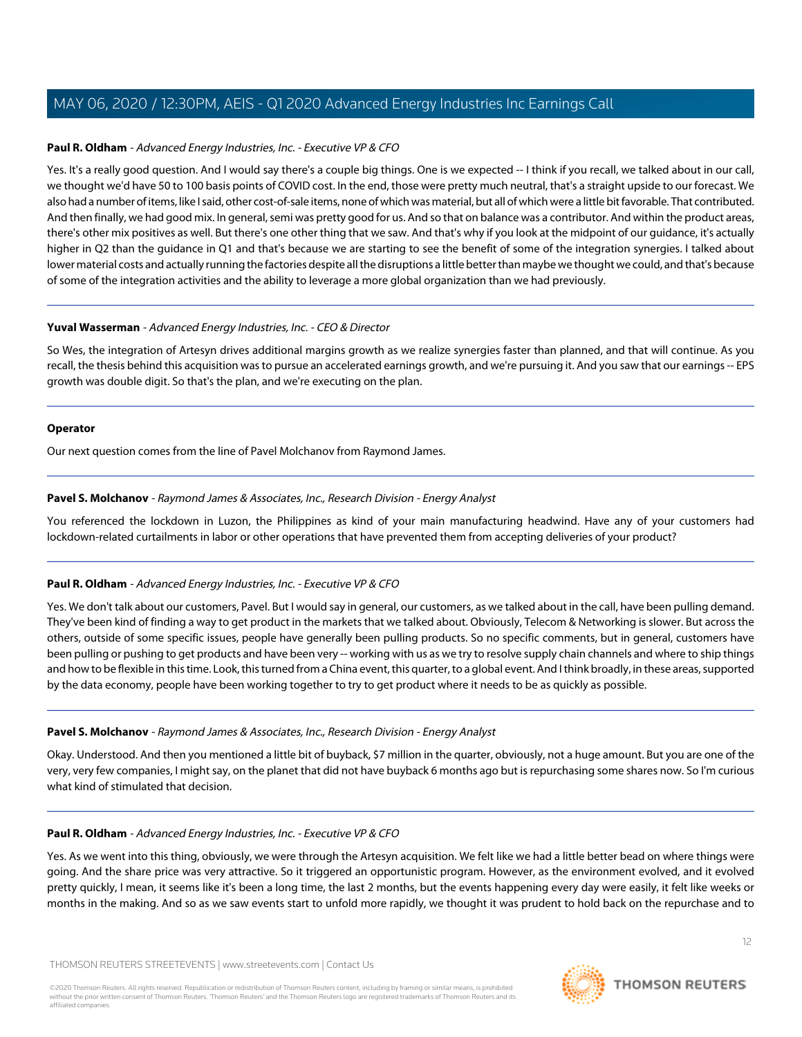# **Paul R. Oldham** - Advanced Energy Industries, Inc. - Executive VP & CFO

Yes. It's a really good question. And I would say there's a couple big things. One is we expected -- I think if you recall, we talked about in our call, we thought we'd have 50 to 100 basis points of COVID cost. In the end, those were pretty much neutral, that's a straight upside to our forecast. We also had a number of items, like I said, other cost-of-sale items, none of which was material, but all of which were a little bit favorable. That contributed. And then finally, we had good mix. In general, semi was pretty good for us. And so that on balance was a contributor. And within the product areas, there's other mix positives as well. But there's one other thing that we saw. And that's why if you look at the midpoint of our guidance, it's actually higher in Q2 than the guidance in Q1 and that's because we are starting to see the benefit of some of the integration synergies. I talked about lower material costs and actually running the factories despite all the disruptions a little better than maybe we thought we could, and that's because of some of the integration activities and the ability to leverage a more global organization than we had previously.

#### **Yuval Wasserman** - Advanced Energy Industries, Inc. - CEO & Director

So Wes, the integration of Artesyn drives additional margins growth as we realize synergies faster than planned, and that will continue. As you recall, the thesis behind this acquisition was to pursue an accelerated earnings growth, and we're pursuing it. And you saw that our earnings -- EPS growth was double digit. So that's the plan, and we're executing on the plan.

#### **Operator**

<span id="page-11-0"></span>Our next question comes from the line of Pavel Molchanov from Raymond James.

#### **Pavel S. Molchanov** - Raymond James & Associates, Inc., Research Division - Energy Analyst

You referenced the lockdown in Luzon, the Philippines as kind of your main manufacturing headwind. Have any of your customers had lockdown-related curtailments in labor or other operations that have prevented them from accepting deliveries of your product?

# **Paul R. Oldham** - Advanced Energy Industries, Inc. - Executive VP & CFO

Yes. We don't talk about our customers, Pavel. But I would say in general, our customers, as we talked about in the call, have been pulling demand. They've been kind of finding a way to get product in the markets that we talked about. Obviously, Telecom & Networking is slower. But across the others, outside of some specific issues, people have generally been pulling products. So no specific comments, but in general, customers have been pulling or pushing to get products and have been very -- working with us as we try to resolve supply chain channels and where to ship things and how to be flexible in this time. Look, this turned from a China event, this quarter, to a global event. And I think broadly, in these areas, supported by the data economy, people have been working together to try to get product where it needs to be as quickly as possible.

#### **Pavel S. Molchanov** - Raymond James & Associates, Inc., Research Division - Energy Analyst

Okay. Understood. And then you mentioned a little bit of buyback, \$7 million in the quarter, obviously, not a huge amount. But you are one of the very, very few companies, I might say, on the planet that did not have buyback 6 months ago but is repurchasing some shares now. So I'm curious what kind of stimulated that decision.

#### **Paul R. Oldham** - Advanced Energy Industries, Inc. - Executive VP & CFO

Yes. As we went into this thing, obviously, we were through the Artesyn acquisition. We felt like we had a little better bead on where things were going. And the share price was very attractive. So it triggered an opportunistic program. However, as the environment evolved, and it evolved pretty quickly, I mean, it seems like it's been a long time, the last 2 months, but the events happening every day were easily, it felt like weeks or months in the making. And so as we saw events start to unfold more rapidly, we thought it was prudent to hold back on the repurchase and to

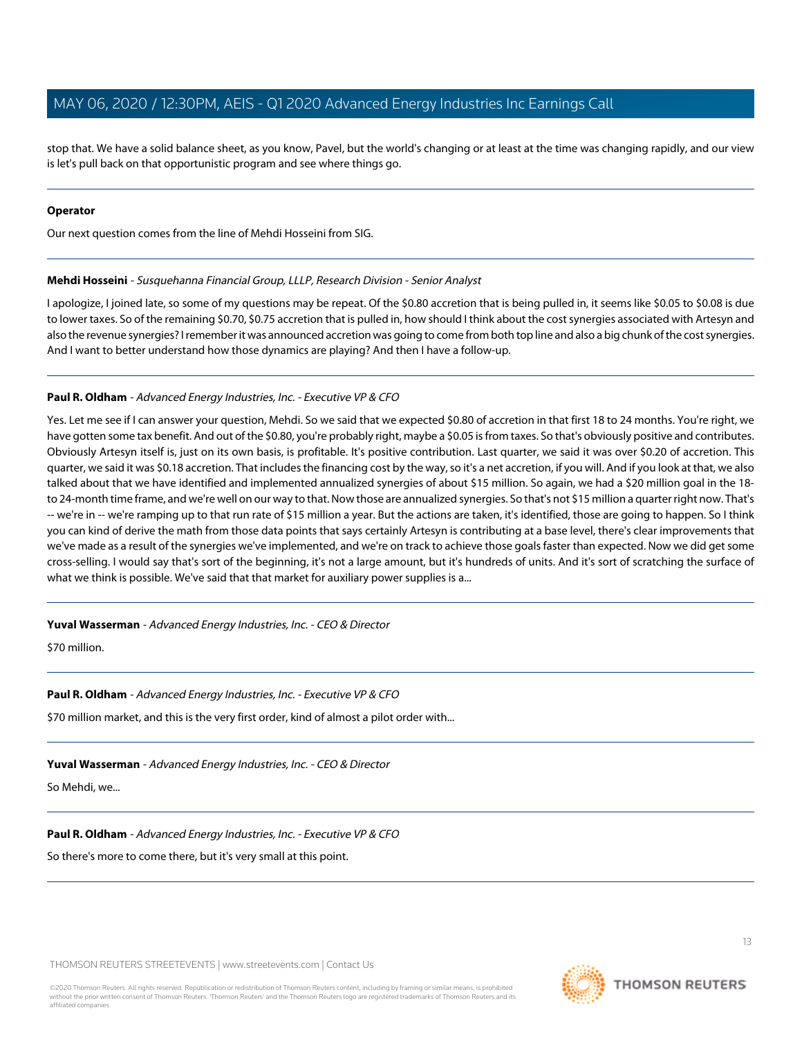stop that. We have a solid balance sheet, as you know, Pavel, but the world's changing or at least at the time was changing rapidly, and our view is let's pull back on that opportunistic program and see where things go.

#### **Operator**

<span id="page-12-0"></span>Our next question comes from the line of Mehdi Hosseini from SIG.

#### **Mehdi Hosseini** - Susquehanna Financial Group, LLLP, Research Division - Senior Analyst

I apologize, I joined late, so some of my questions may be repeat. Of the \$0.80 accretion that is being pulled in, it seems like \$0.05 to \$0.08 is due to lower taxes. So of the remaining \$0.70, \$0.75 accretion that is pulled in, how should I think about the cost synergies associated with Artesyn and also the revenue synergies? I remember it was announced accretion was going to come from both top line and also a big chunk of the cost synergies. And I want to better understand how those dynamics are playing? And then I have a follow-up.

#### **Paul R. Oldham** - Advanced Energy Industries, Inc. - Executive VP & CFO

Yes. Let me see if I can answer your question, Mehdi. So we said that we expected \$0.80 of accretion in that first 18 to 24 months. You're right, we have gotten some tax benefit. And out of the \$0.80, you're probably right, maybe a \$0.05 is from taxes. So that's obviously positive and contributes. Obviously Artesyn itself is, just on its own basis, is profitable. It's positive contribution. Last quarter, we said it was over \$0.20 of accretion. This quarter, we said it was \$0.18 accretion. That includes the financing cost by the way, so it's a net accretion, if you will. And if you look at that, we also talked about that we have identified and implemented annualized synergies of about \$15 million. So again, we had a \$20 million goal in the 18 to 24-month time frame, and we're well on our way to that. Now those are annualized synergies. So that's not \$15 million a quarter right now. That's -- we're in -- we're ramping up to that run rate of \$15 million a year. But the actions are taken, it's identified, those are going to happen. So I think you can kind of derive the math from those data points that says certainly Artesyn is contributing at a base level, there's clear improvements that we've made as a result of the synergies we've implemented, and we're on track to achieve those goals faster than expected. Now we did get some cross-selling. I would say that's sort of the beginning, it's not a large amount, but it's hundreds of units. And it's sort of scratching the surface of what we think is possible. We've said that that market for auxiliary power supplies is a...

#### **Yuval Wasserman** - Advanced Energy Industries, Inc. - CEO & Director

\$70 million.

#### **Paul R. Oldham** - Advanced Energy Industries, Inc. - Executive VP & CFO

\$70 million market, and this is the very first order, kind of almost a pilot order with...

# **Yuval Wasserman** - Advanced Energy Industries, Inc. - CEO & Director

So Mehdi, we...

# **Paul R. Oldham** - Advanced Energy Industries, Inc. - Executive VP & CFO

So there's more to come there, but it's very small at this point.

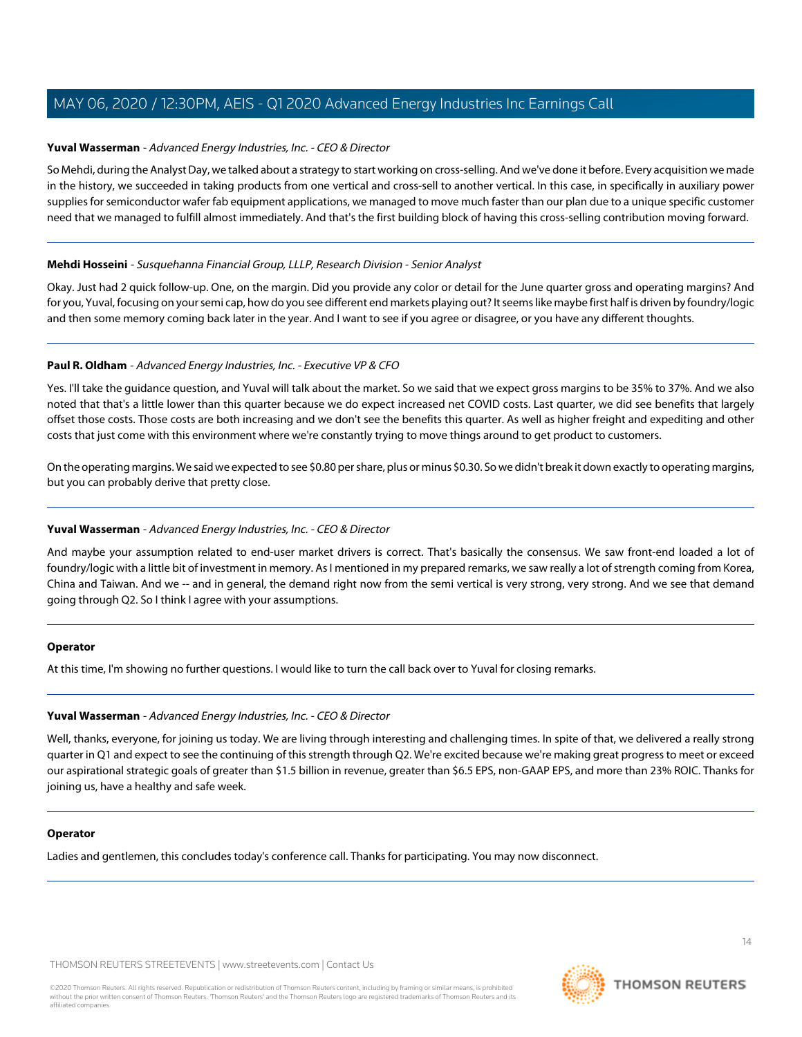#### **Yuval Wasserman** - Advanced Energy Industries, Inc. - CEO & Director

So Mehdi, during the Analyst Day, we talked about a strategy to start working on cross-selling. And we've done it before. Every acquisition we made in the history, we succeeded in taking products from one vertical and cross-sell to another vertical. In this case, in specifically in auxiliary power supplies for semiconductor wafer fab equipment applications, we managed to move much faster than our plan due to a unique specific customer need that we managed to fulfill almost immediately. And that's the first building block of having this cross-selling contribution moving forward.

#### **Mehdi Hosseini** - Susquehanna Financial Group, LLLP, Research Division - Senior Analyst

Okay. Just had 2 quick follow-up. One, on the margin. Did you provide any color or detail for the June quarter gross and operating margins? And for you, Yuval, focusing on your semi cap, how do you see different end markets playing out? It seems like maybe first half is driven by foundry/logic and then some memory coming back later in the year. And I want to see if you agree or disagree, or you have any different thoughts.

#### **Paul R. Oldham** - Advanced Energy Industries, Inc. - Executive VP & CFO

Yes. I'll take the guidance question, and Yuval will talk about the market. So we said that we expect gross margins to be 35% to 37%. And we also noted that that's a little lower than this quarter because we do expect increased net COVID costs. Last quarter, we did see benefits that largely offset those costs. Those costs are both increasing and we don't see the benefits this quarter. As well as higher freight and expediting and other costs that just come with this environment where we're constantly trying to move things around to get product to customers.

On the operating margins. We said we expected to see \$0.80 per share, plus or minus \$0.30. So we didn't break it down exactly to operating margins, but you can probably derive that pretty close.

# **Yuval Wasserman** - Advanced Energy Industries, Inc. - CEO & Director

And maybe your assumption related to end-user market drivers is correct. That's basically the consensus. We saw front-end loaded a lot of foundry/logic with a little bit of investment in memory. As I mentioned in my prepared remarks, we saw really a lot of strength coming from Korea, China and Taiwan. And we -- and in general, the demand right now from the semi vertical is very strong, very strong. And we see that demand going through Q2. So I think I agree with your assumptions.

#### **Operator**

At this time, I'm showing no further questions. I would like to turn the call back over to Yuval for closing remarks.

#### **Yuval Wasserman** - Advanced Energy Industries, Inc. - CEO & Director

Well, thanks, everyone, for joining us today. We are living through interesting and challenging times. In spite of that, we delivered a really strong quarter in Q1 and expect to see the continuing of this strength through Q2. We're excited because we're making great progress to meet or exceed our aspirational strategic goals of greater than \$1.5 billion in revenue, greater than \$6.5 EPS, non-GAAP EPS, and more than 23% ROIC. Thanks for joining us, have a healthy and safe week.

#### **Operator**

Ladies and gentlemen, this concludes today's conference call. Thanks for participating. You may now disconnect.